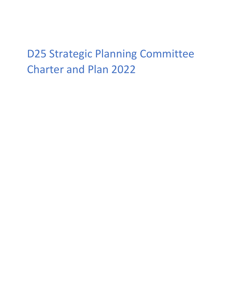# D25 Strategic Planning Committee Charter and Plan 2022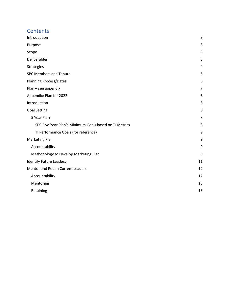# **Contents**

| Introduction                                           | $\mathsf 3$    |
|--------------------------------------------------------|----------------|
| Purpose                                                | 3              |
| Scope                                                  | 3              |
| Deliverables                                           | 3              |
| Strategies                                             | 4              |
| <b>SPC Members and Tenure</b>                          | 5              |
| <b>Planning Process/Dates</b>                          | 6              |
| Plan - see appendix                                    | $\overline{7}$ |
| Appendix: Plan for 2022                                | 8              |
| Introduction                                           | 8              |
| <b>Goal Setting</b>                                    | 8              |
| 5 Year Plan                                            | 8              |
| SPC Five Year Plan's Minimum Goals based on TI Metrics | 8              |
| TI Performance Goals (for reference)                   | 9              |
| <b>Marketing Plan</b>                                  | 9              |
| Accountability                                         | 9              |
| Methodology to Develop Marketing Plan                  | 9              |
| <b>Identify Future Leaders</b>                         | 11             |
| Mentor and Retain Current Leaders                      | 12             |
| Accountability                                         | 12             |
| Mentoring                                              | 13             |
| Retaining                                              | 13             |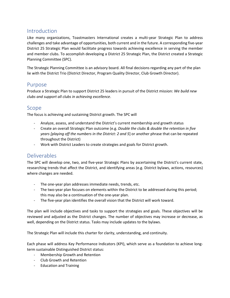# <span id="page-2-0"></span>Introduction

Like many organizations, Toastmasters International creates a multi-year Strategic Plan to address challenges and take advantage of opportunities, both current and in the future. A corresponding five-year District 25 Strategic Plan would facilitate progress towards achieving excellence in serving the member and member clubs. To accomplish developing a District 25 Strategic Plan, the District created a Strategic Planning Committee (SPC).

The Strategic Planning Committee is an advisory board. All final decisions regarding any part of the plan lie with the District Trio (District Director, Program Quality Director, Club Growth Director).

# <span id="page-2-1"></span>Purpose

Produce a Strategic Plan to support District 25 leaders in pursuit of the District mission: *We build new clubs and support all clubs in achieving excellence*.

# <span id="page-2-2"></span>Scope

The focus is achieving and sustaining District growth. The SPC will

- Analyze, assess, and understand the District's current membership and growth status
- Create an overall Strategic Plan outcome (e.g. *Double the clubs & double the retention in five years [playing off the numbers in the District: 2 and 5*] or another phrase that can be repeated throughout the District)
- Work with District Leaders to create strategies and goals for District growth.

# <span id="page-2-3"></span>Deliverables

The SPC will develop one, two, and five-year Strategic Plans by ascertaining the District's current state, researching trends that affect the District, and identifying areas (e.g. District bylaws, actions, resources) where changes are needed.

- The one-year plan addresses immediate needs, trends, etc.
- The two-year plan focuses on elements within the District to be addressed during this period; this may also be a continuation of the one-year plan.
- The five-year plan identifies the overall vision that the District will work toward.

The plan will include objectives and tasks to support the strategies and goals. These objectives will be reviewed and adjusted as the District changes. The number of objectives may increase or decrease, as well, depending on the District status. Tasks may include updates to the bylaws.

The Strategic Plan will include this charter for clarity, understanding, and continuity.

Each phase will address Key Performance Indicators (KPI), which serve as a foundation to achieve longterm sustainable Distinguished District status:

- Membership Growth and Retention
- Club Growth and Retention
- Education and Training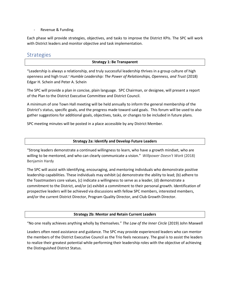#### Revenue & Funding.

Each phase will provide strategies, objectives, and tasks to improve the District KPIs. The SPC will work with District leaders and monitor objective and task implementation.

### <span id="page-3-0"></span>**Strategies**

### **Strategy 1: Be Transparent**

"Leadership is always a relationship, and truly successful leadership thrives in a group culture of high openness and high trust." *Humble Leadership: The Power of Relationships, Openness, and Trust* (2018) Edgar H. Schein and Peter A. Schein

The SPC will provide a plan in concise, plain language. SPC Chairman, or designee, will present a report of the Plan to the District Executive Committee and District Council.

A minimum of one Town Hall meeting will be held annually to inform the general membership of the District's status, specific goals, and the progress made toward said goals. This forum will be used to also gather suggestions for additional goals, objectives, tasks, or changes to be included in future plans.

SPC meeting minutes will be posted in a place accessible by any District Member.

#### **Strategy 2a: Identify and Develop Future Leaders**

"Strong leaders demonstrate a continued willingness to learn, who have a growth mindset, who are willing to be mentored, and who can clearly communicate a vision." *Willpower Doesn't Work* (2018) Benjamin Hardy

The SPC will assist with identifying, encouraging, and mentoring individuals who demonstrate positive leadership capabilities. These individuals may exhibit (a) demonstrate the ability to lead; (b) adhere to the Toastmasters core values, (c) indicate a willingness to serve as a leader, (d) demonstrate a commitment to the District, and/or (e) exhibit a commitment to their personal growth. Identification of prospective leaders will be achieved via discussions with fellow SPC members, interested members, and/or the current District Director, Program Quality Director, and Club Growth Director.

**Strategy 2b: Mentor and Retain Current Leaders**

"No one really achieves anything wholly by themselves." *The Law of the Inner Circle* (2019) John Maxwell

Leaders often need assistance and guidance. The SPC may provide experienced leaders who can mentor the members of the District Executive Council as the Trio feels necessary. The goal is to assist the leaders to realize their greatest potential while performing their leadership roles with the objective of achieving the Distinguished District Status.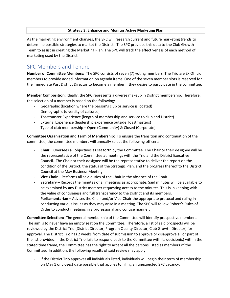### **Strategy 3: Enhance and Monitor Active Marketing Plan**

As the marketing environment changes, the SPC will research current and future marketing trends to determine possible strategies to market the District. The SPC provides this data to the Club Growth Team to assist in creating the Marketing Plan. The SPC will track the effectiveness of each method of marketing used by the District.

# <span id="page-4-0"></span>SPC Members and Tenure

**Number of Committee Members:** The SPC consists of seven (7) voting members. The Trio are Ex Officio members to provide added information on agenda items. One of the seven member slots is reserved for the Immediate Past District Director to become a member if they desire to participate in the committee.

**Member Composition:** Ideally, the SPC represents a diverse makeup in District membership. Therefore, the selection of a member is based on the following:

- Geographic (location where the person's club or service is located)
- Demographic (diversity of cultures)
- Toastmaster Experience (length of membership and service to club and District)
- External Experience (leadership experience outside Toastmasters)
- Type of club membership Open (Community) & Closed (Corporate)

**Committee Organization and Term of Membership:** To ensure the transition and continuation of the committee, the committee members will annually select the following officers:

- **Chair** Oversees all objectives as set forth by the Committee. The Chair or their designee will be the representative of the Committee at meetings with the Trio and the District Executive Council. The Chair or their designee will be the representative to deliver the report on the condition of the District, the status of the Strategic Plan, and the progress thereof to the District Council at the May Business Meeting.
- **Vice Chair** Performs all said duties of the Chair in the absence of the Chair.
- **Secretary** Records the minutes of all meetings as appropriate. Said minutes will be available to be examined by any District member requesting access to the minutes. This is in keeping with the value of conciseness and full transparency to the District and its members.
- **Parliamentarian** Advises the Chair and/or Vice-Chair the appropriate protocol and ruling in conducting various issues as they may arise in a meeting. The SPC will follow Robert's Rules of Order to conduct meetings in a professional and concise manner.

**Committee Selection:** The general membership of the Committee will identify prospective members. The aim is to never have an empty seat on the Committee. Therefore, a list of said prospects will be reviewed by the District Trio (District Director, Program Quality Director, Club Growth Director) for approval. The District Trio has 2 weeks from date of submission to approve or disapprove all or part of the list provided. If the District Trio fails to respond back to the Committee with its decision(s) within the stated time frame, the Committee has the right to accept all the persons listed as members of the Committee. In addition, the following results of said review may apply:

If the District Trio approves all individuals listed, individuals will begin their term of membership on May 1 or closest date possible that applies to filling an unexpected SPC vacancy.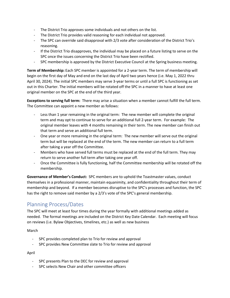- The District Trio approves some individuals and not others on the list.
- The District Trio provides valid reasoning for each individual not approved.
- The SPC can override said disapproval with 2/3 vote after consideration of the District Trio's reasoning.
- If the District Trio disapproves, the individual may be placed on a future listing to serve on the SPC once the issues concerning the District Trio have been rectified.
- SPC membership is approved by the District Executive Council at the Spring business meeting.

**Term of Membership:** Each SPC member is appointed for a 2-year term. The term of membership will begin on the first day of May and end on the last day of April two years hence (i.e. May 1, 2022 thru April 30, 2024). The initial SPC members may serve 3-year terms or until a full SPC is functioning as set out in this Charter. The initial members will be rotated off the SPC in a manner to have at least one original member on the SPC at the end of the third year.

**Exceptions to serving full term:** There may arise a situation when a member cannot fulfill the full term. The Committee can appoint a new member as follows:

- Less than 1 year remaining in the original term: The new member will complete the original term and may opt to continue to serve for an additional full 2-year term. For example: The original member leaves with 4 months remaining in their term. The new member can finish out that term and serve an additional full term.
- One year or more remaining in the original term: The new member will serve out the original term but will be replaced at the end of the term. The new member can return to a full term after taking a year off the Committee.
- Members who have served full terms must be replaced at the end of the full term. They may return to serve another full term after taking one year off.
- Once the Committee is fully functioning, half the Committee membership will be rotated off the membership.

**Governance of Member's Conduct:** SPC members are to uphold the Toastmaster values, conduct themselves in a professional manner, maintain equanimity, and confidentiality throughout their term of membership and beyond. If a member becomes disruptive to the SPC's processes and function, the SPC has the right to remove said member by a 2/3's vote of the SPC's general membership.

# <span id="page-5-0"></span>Planning Process/Dates

The SPC will meet at least four times during the year formally with additional meetings added as needed. The formal meetings are included on the District Key Date Calendar. Each meeting will focus on reviews (i.e. Bylaw Objectives, timelines, etc.) as well as new business

March

- SPC provides completed plan to Trio for review and approval
- SPC provides New Committee slate to Trio for review and approval

April

- SPC presents Plan to the DEC for review and approval
- SPC selects New Chair and other committee officers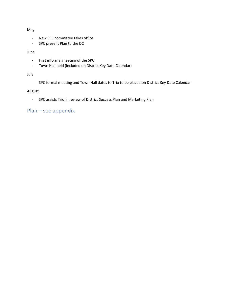#### May

- New SPC committee takes office
- SPC present Plan to the DC

#### June

- First informal meeting of the SPC
- Town Hall held (included on District Key Date Calendar)

### July

- SPC formal meeting and Town Hall dates to Trio to be placed on District Key Date Calendar

### August

- SPC assists Trio in review of District Success Plan and Marketing Plan

# <span id="page-6-0"></span>Plan – see appendix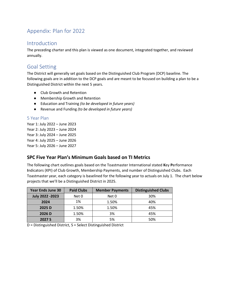# <span id="page-7-0"></span>Appendix: Plan for 2022

### <span id="page-7-1"></span>Introduction

The preceding charter and this plan is viewed as one document, integrated together, and reviewed annually.

# <span id="page-7-2"></span>Goal Setting

The District will generally set goals based on the Distinguished Club Program (DCP) baseline. The following goals are in addition to the DCP goals and are meant to be focused on building a plan to be a Distinguished District within the next 5 years.

- Club Growth and Retention
- Membership Growth and Retention
- Education and Training *(to be developed in future years)*
- Revenue and Funding *(to be developed in future years)*

### <span id="page-7-3"></span>5 Year Plan

Year 1: July 2022 – June 2023 Year 2: July 2023 – June 2024 Year 3: July 2024 – June 2025 Year 4: July 2025 – June 2026 Year 5: July 2026 – June 2027

### <span id="page-7-4"></span>**SPC Five Year Plan's Minimum Goals based on TI Metrics**

The following chart outlines goals based on the Toastmaster International stated **K**ey **P**erformance **I**ndicators (KPI) of Club Growth, Membership Payments, and number of Distinguished Clubs. Each Toastmaster year, each category is baselined for the following year to actuals on July 1. The chart below projects that we'll be a Distinguished District in 2025.

| <b>Year Ends June 30</b> | <b>Paid Clubs</b> | <b>Member Payments</b> | <b>Distinguished Clubs</b> |
|--------------------------|-------------------|------------------------|----------------------------|
| <b>July 2022 -2023</b>   | Net 0             | Net 0                  | 30%                        |
| 2024                     | 1%                | 1.50%                  | 40%                        |
| 2025 D                   | 1.50%             | 1.50%                  | 45%                        |
| 2026 D                   | 1.50%             | 3%                     | 45%                        |
| 2027 S                   | 3%                | 5%                     | 50%                        |

D = Distinguished District, S = Select Distinguished District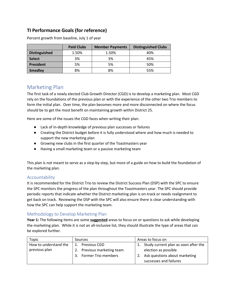# <span id="page-8-0"></span>**TI Performance Goals (for reference)**

|                      | <b>Paid Clubs</b> | <b>Member Payments</b> | <b>Distinguished Clubs</b> |
|----------------------|-------------------|------------------------|----------------------------|
| <b>Distinguished</b> | 1.50%             | 1.50%                  | 40%                        |
| <b>Select</b>        | 3%                | 3%                     | 45%                        |
| <b>President</b>     | 5%                | 5%                     | 50%                        |
| <b>Smedley</b>       | 8%                | 8%                     | 55%                        |

Percent growth from baseline, July 1 of year

# <span id="page-8-1"></span>Marketing Plan

The first task of a newly elected Club Growth Director (CGD) is to develop a marketing plan. Most CGD rely on the foundations of the previous plan or with the experience of the other two Trio members to form the initial plan. Over time, the plan becomes more and more disconnected on where the focus should be to get the most benefit on maintaining growth within District 25.

Here are some of the issues the CGD faces when writing their plan:

- Lack of in-depth knowledge of previous plan successes or failures
- Creating the District budget before it is fully understood where and how much is needed to support the new marketing plan
- Growing new clubs in the first quarter of the Toastmasters year
- Having a small marketing team or a passive marketing team

This plan is not meant to serve as a step-by-step, but more of a guide on how to build the foundation of the marketing plan.

### <span id="page-8-2"></span>Accountability

It is recommended for the District Trio to review the District Success Plan (DSP) with the SPC to ensure the SPC monitors the progress of the plan throughout the Toastmasters year. The SPC should provide periodic reports that indicate whether the District marketing plan is on-track or needs realignment to get back on track. Reviewing the DSP with the SPC will also ensure there is clear understanding with how the SPC can help support the marketing team.

### <span id="page-8-3"></span>Methodology to Develop Marketing Plan

**Year 1:** The following items are some **suggested** areas to focus on or questions to ask while developing the marketing plan. While it is not an all-inclusive list, they should illustrate the type of areas that can be explored further.

| Topic                 | Sources                        | Areas to focus on                    |
|-----------------------|--------------------------------|--------------------------------------|
| How to understand the | Previous CGD<br>$\mathbf{1}$ . | Study current plan as soon after the |
| previous plan         | Previous marketing team        | election as possible                 |
|                       | Former Trio members<br>3.      | Ask questions about marketing        |
|                       |                                | successes and failures               |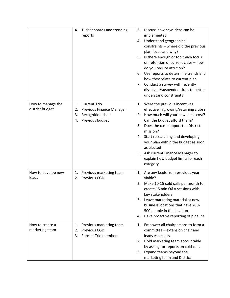|                                      | TI dashboards and trending<br>4.<br>reports                                                                            | Discuss how new ideas can be<br>3.<br>implemented<br>Understand geographical<br>4.<br>constraints - where did the previous<br>plan focus and why?<br>Is there enough or too much focus<br>5.<br>on retention of current clubs - how<br>do you reduce attrition?<br>Use reports to determine trends and<br>6.<br>how they relate to current plan<br>Conduct a survey with recently<br>7.<br>dissolved/suspended clubs to better |
|--------------------------------------|------------------------------------------------------------------------------------------------------------------------|--------------------------------------------------------------------------------------------------------------------------------------------------------------------------------------------------------------------------------------------------------------------------------------------------------------------------------------------------------------------------------------------------------------------------------|
|                                      |                                                                                                                        | understand constraints                                                                                                                                                                                                                                                                                                                                                                                                         |
| How to manage the<br>district budget | <b>Current Trio</b><br>1.<br><b>Previous Finance Manager</b><br>2.<br>Recognition chair<br>3.<br>Previous budget<br>4. | Were the previous incentives<br>1.<br>effective in growing/retaining clubs?<br>How much will your new ideas cost?<br>2.<br>Can the budget afford them?<br>Does the cost support the District<br>3.<br>mission?<br>Start researching and developing<br>4.<br>your plan within the budget as soon<br>as elected<br>Ask current Finance Manager to<br>5.<br>explain how budget limits for each<br>category                        |
| How to develop new<br>leads          | Previous marketing team<br>1.<br>Previous CGD<br>2.                                                                    | Are any leads from previous year<br>1.<br>viable?<br>Make 10-15 cold calls per month to<br>2.<br>create 15 min Q&A sessions with<br>key stakeholders<br>Leave marketing material at new<br>3.<br>business locations that have 200-<br>500 people in the location<br>Have proactive reporting of pipeline<br>4.                                                                                                                 |
| How to create a<br>marketing team    | Previous marketing team<br>1.<br>Previous CGD<br>2.<br><b>Former Trio members</b><br>3.                                | Empower all chairpersons to form a<br>1.<br>committee - extension chair and<br>leads especially<br>Hold marketing team accountable<br>2.<br>by asking for reports on cold calls<br>Expand teams beyond the<br>3.<br>marketing team and District                                                                                                                                                                                |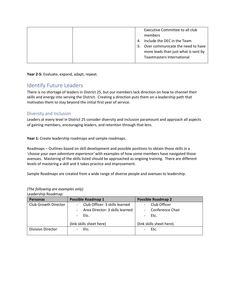|  |    | Executive Committee to all club      |
|--|----|--------------------------------------|
|  |    | members                              |
|  | 4. | Include the DEC in the Team          |
|  | 5. | Over communicate the need to have    |
|  |    | more leads than just what is sent by |
|  |    | <b>Toastmasters International</b>    |
|  |    |                                      |

**Year 2-5:** Evaluate, expand, adapt, repeat.

# <span id="page-10-0"></span>Identify Future Leaders

There is no shortage of leaders in District 25, but our members lack direction on how to channel their skills and energy into serving the District. Creating a direction puts them on a leadership path that motivates them to stay beyond the initial first year of service.

### Diversity and Inclusion

Leaders at every level in District 25 consider diversity and inclusion paramount and approach all aspects of gaining members, encouraging leaders, and retention through that lens.

**Year 1:** Create leadership roadmaps and sample roadmaps.

Roadmaps – Outlines based on skill development and possible positions to obtain those skills in a '*choose your own adventure experience'* with examples of how some members have navigated those avenues. Mastering of the skills listed should be approached as ongoing training. There are different levels of mastering a skill and it takes practice and improvement.

Sample Roadmaps are created from a wide range of diverse people and avenues to leadership.

| Leadership Roadmap:                                         |                           |  |  |
|-------------------------------------------------------------|---------------------------|--|--|
| <b>Possible Roadmap 1</b>                                   | <b>Possible Roadmap 2</b> |  |  |
| Club Officer: 3 skills learned<br>$\overline{\phantom{0}}$  | Club Officer              |  |  |
| Area Director: 3 skills learned<br>$\overline{\phantom{0}}$ | Conference Chair          |  |  |
| $-$ Etc.                                                    | Etc.                      |  |  |
| (link skills sheet here)                                    | (link skills sheet here). |  |  |
| Etc.                                                        | Etc.                      |  |  |
|                                                             |                           |  |  |

*(The following are examples only)* Leadership Roadmap: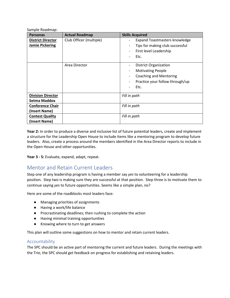Sample Roadmap:

| <b>Personas</b>                                    | <b>Actual Roadmap</b>   | <b>Skills Acquired</b>                                                                                                                                                                       |
|----------------------------------------------------|-------------------------|----------------------------------------------------------------------------------------------------------------------------------------------------------------------------------------------|
| <b>District Director</b><br><b>Jamie Pickering</b> | Club Officer (multiple) | <b>Expand Toastmasters knowledge</b><br>Tips for making club successful<br>$\overline{\phantom{a}}$<br>First level Leadership<br>Etc.<br>۰                                                   |
|                                                    | Area Director           | <b>District Organization</b><br>$\overline{\phantom{a}}$<br><b>Motivating People</b><br><b>Coaching and Mentoring</b><br>Practice your follow through/up<br>$\overline{\phantom{a}}$<br>Etc. |
| <b>Division Director</b><br>Setma Maddox           |                         | Fill in path                                                                                                                                                                                 |
| <b>Conference Chair</b><br>(Insert Name)           |                         | Fill in path                                                                                                                                                                                 |
| <b>Contest Quality</b><br>(Insert Name)            |                         | Fill in path                                                                                                                                                                                 |

**Year 2:** In order to produce a diverse and inclusive list of future potential leaders, create and implement a structure for the Leadership Open House to include items like a mentoring program to develop future leaders. Also, create a process around the members identified in the Area Director reports to include in the Open House and other opportunities.

<span id="page-11-0"></span>**Year 3 - 5:** Evaluate, expand, adapt, repeat.

# Mentor and Retain Current Leaders

Step one of any leadership program is having a member say *yes* to volunteering for a leadership position. Step two is making sure they are successful at that position. Step three is to motivate them to continue saying *yes* to future opportunities. Seems like a simple plan, no?

Here are some of the roadblocks most leaders face:

- Managing priorities of assignments
- Having a work/life balance
- Procrastinating deadlines; then rushing to complete the action
- Having minimal training opportunities
- Knowing where to turn to get answers

This plan will outline some suggestions on how to mentor and retain current leaders.

### <span id="page-11-1"></span>Accountability

The SPC should be an active part of mentoring the current and future leaders. During the meetings with the Trio, the SPC should get feedback on progress for establishing and retaining leaders.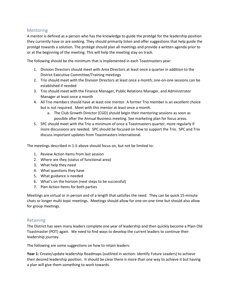### <span id="page-12-0"></span>Mentoring

A mentor is defined as a person who has the knowledge to guide the protégé for the leadership position they currently have or are seeking. They should primarily listen and offer suggestions that help guide the protégé towards a solution. The protégé should plan all meetings and provide a written agenda prior to or at the beginning of the meeting. This will help the meeting stay on track.

The following should be the minimum that is implemented in each Toastmasters year:

- 1. Division Directors should meet with Area Directors at least once a quarter in addition to the District Executive Committee/Training meetings
- 2. Trio should meet with the Division Directors at least once a month; one-on-one sessions can be established if needed
- 3. Trio should meet with the Finance Manager, Public Relations Manager, and Administrator Manager at least once a month
- 4. All Trio members should have at least one mentor. A former Trio member is an excellent choice but is not required. Meet with this mentor at least once a month.
	- a. The Club Growth Director (CGD) should begin their mentoring sessions as soon as possible after the Annual Business meeting. See marketing plan for focus areas.
- 5. SPC should meet with the Trio a minimum of once a Toastmasters quarter; more regularly if more discussions are needed. SPC should be focused on how to support the Trio. SPC and Trio discuss important updates from Toastmasters International.

The meetings described in 1-5 above should focus on, but not be limited to:

- 1. Review Action Items from last session
- 2. Where are they (status of functional area)
- 3. What help they need
- 4. What questions they have
- 5. What guidance is needed
- 6. What's on the horizon (next steps to be successful)
- 7. Plan Action Items for both parties

Meetings are virtual or in person and of a length that satisfies the need. They can be quick 15-minute chats or longer multi topic meetings. Meetings should allow for one-on-one time but should also allow for group meetings.

### <span id="page-12-1"></span>Retaining

The District has seen many leaders complete one year of leadership and then quickly become a Plain Old Toastmaster (POT) again. We need to find ways to develop the current leaders to continue their leadership journey.

The following are some suggestions on how to retain leaders:

**Year 1:** Create/update leadership Roadmaps (outlined in section: Identify Future Leaders) to achieve their desired leadership position. It should be clear there is more than one way to achieve it but having a plan will give them something to work towards.